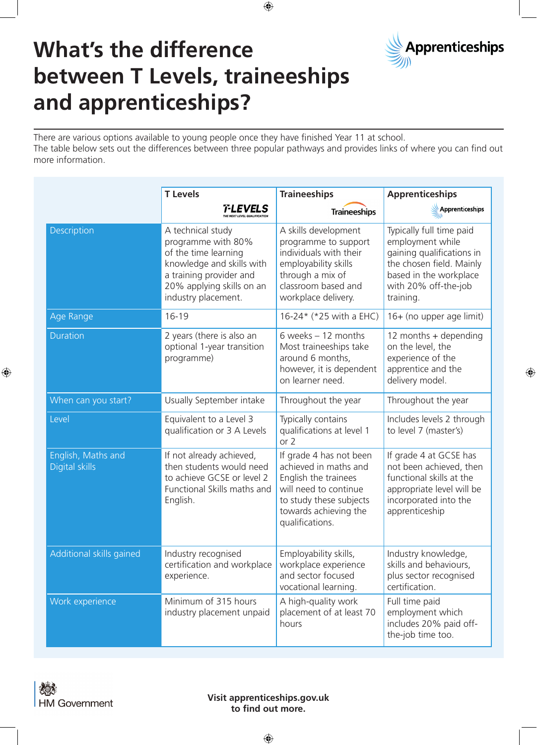

 $\bigoplus$ 

## **What's the difference between T Levels, traineeships and apprenticeships?**

There are various options available to young people once they have finished Year 11 at school. The table below sets out the differences between three popular pathways and provides links of where you can find out more information.

 $\bigoplus$ 

|                                             | <b>T</b> Levels                                                                                                                                                             | <b>Traineeships</b>                                                                                                                                                      | <b>Apprenticeships</b>                                                                                                                                               |
|---------------------------------------------|-----------------------------------------------------------------------------------------------------------------------------------------------------------------------------|--------------------------------------------------------------------------------------------------------------------------------------------------------------------------|----------------------------------------------------------------------------------------------------------------------------------------------------------------------|
|                                             | T-LEVELS                                                                                                                                                                    | <b>Traineeships</b>                                                                                                                                                      | Apprenticeships                                                                                                                                                      |
| Description                                 | A technical study<br>programme with 80%<br>of the time learning<br>knowledge and skills with<br>a training provider and<br>20% applying skills on an<br>industry placement. | A skills development<br>programme to support<br>individuals with their<br>employability skills<br>through a mix of<br>classroom based and<br>workplace delivery.         | Typically full time paid<br>employment while<br>gaining qualifications in<br>the chosen field. Mainly<br>based in the workplace<br>with 20% off-the-job<br>training. |
| Age Range                                   | $16 - 19$                                                                                                                                                                   | 16-24* (*25 with a EHC)                                                                                                                                                  | 16+ (no upper age limit)                                                                                                                                             |
| <b>Duration</b>                             | 2 years (there is also an<br>optional 1-year transition<br>programme)                                                                                                       | 6 weeks $-12$ months<br>Most traineeships take<br>around 6 months,<br>however, it is dependent<br>on learner need.                                                       | 12 months $+$ depending<br>on the level, the<br>experience of the<br>apprentice and the<br>delivery model.                                                           |
| When can you start?                         | Usually September intake                                                                                                                                                    | Throughout the year                                                                                                                                                      | Throughout the year                                                                                                                                                  |
| Level                                       | Equivalent to a Level 3<br>qualification or 3 A Levels                                                                                                                      | Typically contains<br>qualifications at level 1<br>or $2$                                                                                                                | Includes levels 2 through<br>to level 7 (master's)                                                                                                                   |
| English, Maths and<br><b>Digital skills</b> | If not already achieved,<br>then students would need<br>to achieve GCSE or level 2<br>Functional Skills maths and<br>English.                                               | If grade 4 has not been<br>achieved in maths and<br>English the trainees<br>will need to continue<br>to study these subjects<br>towards achieving the<br>qualifications. | If grade 4 at GCSE has<br>not been achieved, then<br>functional skills at the<br>appropriate level will be<br>incorporated into the<br>apprenticeship                |
| Additional skills gained                    | Industry recognised<br>certification and workplace<br>experience.                                                                                                           | Employability skills,<br>workplace experience<br>and sector focused<br>vocational learning.                                                                              | Industry knowledge,<br>skills and behaviours,<br>plus sector recognised<br>certification.                                                                            |
| Work experience                             | Minimum of 315 hours<br>industry placement unpaid                                                                                                                           | A high-quality work<br>placement of at least 70<br>hours                                                                                                                 | Full time paid<br>employment which<br>includes 20% paid off-<br>the-job time too.                                                                                    |

 $\bigoplus$ 

**Visit apprenticeships.gov.uk to find out more.**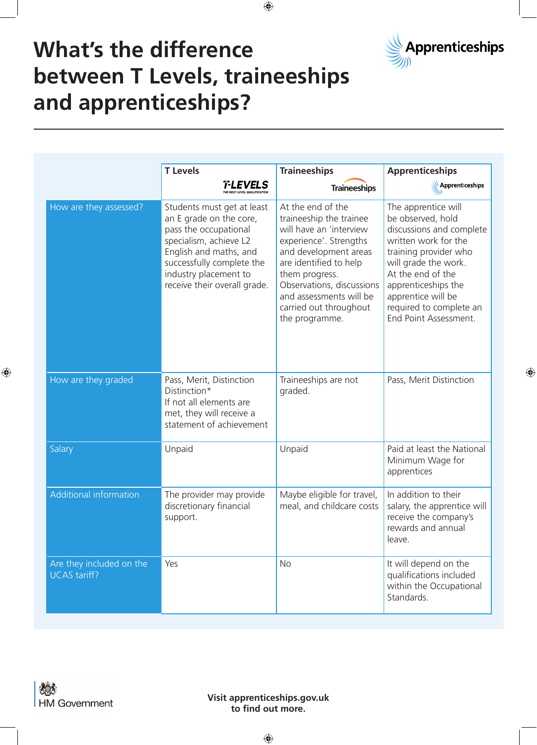

⊕

## **What's the difference between T Levels, traineeships and apprenticeships?**

|                                                 | <b>T Levels</b>                                                                                                                                                                                                          | <b>Traineeships</b>                                                                                                                                                                                                                                                        | <b>Apprenticeships</b>                                                                                                                                                                                                                                              |
|-------------------------------------------------|--------------------------------------------------------------------------------------------------------------------------------------------------------------------------------------------------------------------------|----------------------------------------------------------------------------------------------------------------------------------------------------------------------------------------------------------------------------------------------------------------------------|---------------------------------------------------------------------------------------------------------------------------------------------------------------------------------------------------------------------------------------------------------------------|
|                                                 | T-LEVELS<br><b>THE NEXT LEVEL QUALIFICATION</b>                                                                                                                                                                          | <b>Traineeships</b>                                                                                                                                                                                                                                                        | Apprenticeships                                                                                                                                                                                                                                                     |
| How are they assessed?                          | Students must get at least<br>an E grade on the core,<br>pass the occupational<br>specialism, achieve L2<br>English and maths, and<br>successfully complete the<br>industry placement to<br>receive their overall grade. | At the end of the<br>traineeship the trainee<br>will have an 'interview<br>experience'. Strengths<br>and development areas<br>are identified to help<br>them progress.<br>Observations, discussions<br>and assessments will be<br>carried out throughout<br>the programme. | The apprentice will<br>be observed, hold<br>discussions and complete<br>written work for the<br>training provider who<br>will grade the work.<br>At the end of the<br>apprenticeships the<br>apprentice will be<br>required to complete an<br>End Point Assessment. |
| How are they graded                             | Pass, Merit, Distinction<br>Distinction*<br>If not all elements are<br>met, they will receive a<br>statement of achievement                                                                                              | Traineeships are not<br>graded.                                                                                                                                                                                                                                            | Pass, Merit Distinction                                                                                                                                                                                                                                             |
| Salary                                          | Unpaid                                                                                                                                                                                                                   | Unpaid                                                                                                                                                                                                                                                                     | Paid at least the National<br>Minimum Wage for<br>apprentices                                                                                                                                                                                                       |
| Additional information                          | The provider may provide<br>discretionary financial<br>support.                                                                                                                                                          | Maybe eligible for travel,<br>meal, and childcare costs                                                                                                                                                                                                                    | In addition to their<br>salary, the apprentice will<br>receive the company's<br>rewards and annual<br>leave.                                                                                                                                                        |
| Are they included on the<br><b>UCAS tariff?</b> | Yes                                                                                                                                                                                                                      | <b>No</b>                                                                                                                                                                                                                                                                  | It will depend on the<br>qualifications included<br>within the Occupational<br>Standards.                                                                                                                                                                           |

 $\bigoplus$ 

 $\bigoplus$ 

**Visit apprenticeships.gov.uk to find out more.**